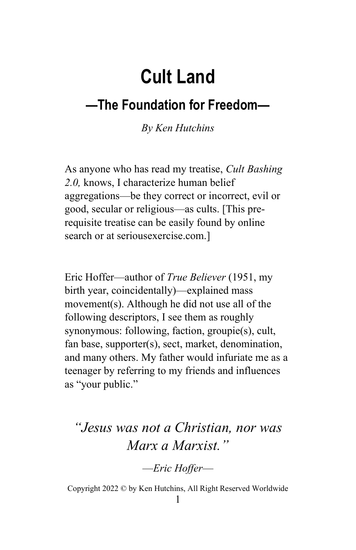# Cult Land

### —The Foundation for Freedom—

By Ken Hutchins

As anyone who has read my treatise, Cult Bashing 2.0, knows, I characterize human belief aggregations—be they correct or incorrect, evil or good, secular or religious—as cults. [This prerequisite treatise can be easily found by online search or at seriousexercise.com.]

Eric Hoffer—author of True Believer (1951, my birth year, coincidentally)—explained mass movement(s). Although he did not use all of the following descriptors, I see them as roughly synonymous: following, faction, groupie(s), cult, fan base, supporter(s), sect, market, denomination, and many others. My father would infuriate me as a teenager by referring to my friends and influences as "your public."

### "Jesus was not a Christian, nor was Marx a Marxist."

—Eric Hoffer—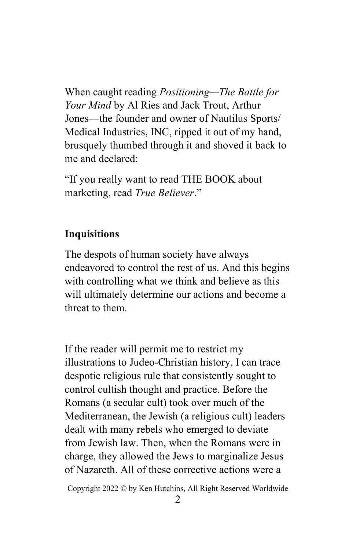When caught reading Positioning—The Battle for Your Mind by Al Ries and Jack Trout, Arthur Jones—the founder and owner of Nautilus Sports/ Medical Industries, INC, ripped it out of my hand, brusquely thumbed through it and shoved it back to me and declared:

"If you really want to read THE BOOK about marketing, read True Believer."

#### Inquisitions

The despots of human society have always endeavored to control the rest of us. And this begins with controlling what we think and believe as this will ultimately determine our actions and become a threat to them.

If the reader will permit me to restrict my illustrations to Judeo-Christian history, I can trace despotic religious rule that consistently sought to control cultish thought and practice. Before the Romans (a secular cult) took over much of the Mediterranean, the Jewish (a religious cult) leaders dealt with many rebels who emerged to deviate from Jewish law. Then, when the Romans were in charge, they allowed the Jews to marginalize Jesus of Nazareth. All of these corrective actions were a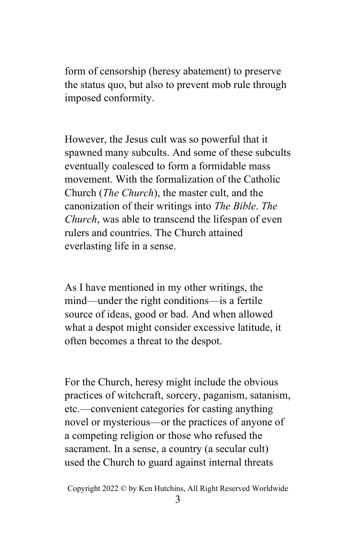form of censorship (heresy abatement) to preserve the status quo, but also to prevent mob rule through imposed conformity.

However, the Jesus cult was so powerful that it spawned many subcults. And some of these subcults eventually coalesced to form a formidable mass movement. With the formalization of the Catholic Church (The Church), the master cult, and the canonization of their writings into The Bible. The Church, was able to transcend the lifespan of even rulers and countries. The Church attained everlasting life in a sense.

As I have mentioned in my other writings, the mind—under the right conditions—is a fertile source of ideas, good or bad. And when allowed what a despot might consider excessive latitude, it often becomes a threat to the despot.

For the Church, heresy might include the obvious practices of witchcraft, sorcery, paganism, satanism, etc.—convenient categories for casting anything novel or mysterious—or the practices of anyone of a competing religion or those who refused the sacrament. In a sense, a country (a secular cult) used the Church to guard against internal threats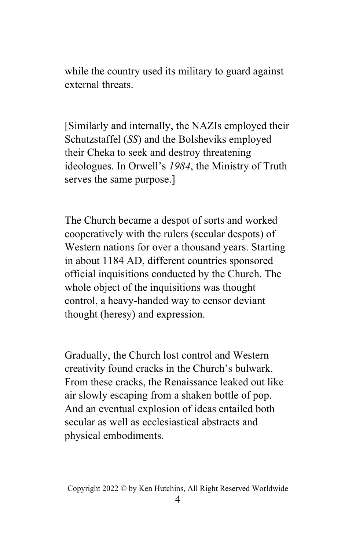while the country used its military to guard against external threats.

[Similarly and internally, the NAZIs employed their Schutzstaffel (SS) and the Bolsheviks employed their Cheka to seek and destroy threatening ideologues. In Orwell's 1984, the Ministry of Truth serves the same purpose.]

The Church became a despot of sorts and worked cooperatively with the rulers (secular despots) of Western nations for over a thousand years. Starting in about 1184 AD, different countries sponsored official inquisitions conducted by the Church. The whole object of the inquisitions was thought control, a heavy-handed way to censor deviant thought (heresy) and expression.

Gradually, the Church lost control and Western creativity found cracks in the Church's bulwark. From these cracks, the Renaissance leaked out like air slowly escaping from a shaken bottle of pop. And an eventual explosion of ideas entailed both secular as well as ecclesiastical abstracts and physical embodiments.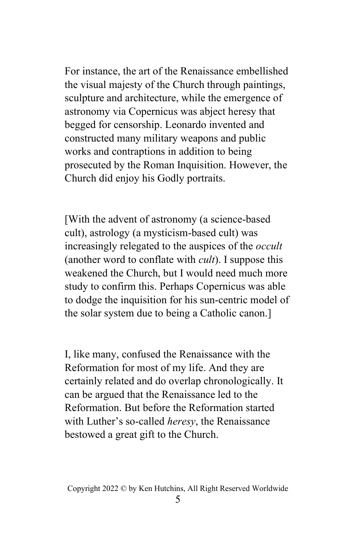For instance, the art of the Renaissance embellished the visual majesty of the Church through paintings, sculpture and architecture, while the emergence of astronomy via Copernicus was abject heresy that begged for censorship. Leonardo invented and constructed many military weapons and public works and contraptions in addition to being prosecuted by the Roman Inquisition. However, the Church did enjoy his Godly portraits.

[With the advent of astronomy (a science-based cult), astrology (a mysticism-based cult) was increasingly relegated to the auspices of the *occult* (another word to conflate with  $\textit{curl}$ ). I suppose this weakened the Church, but I would need much more study to confirm this. Perhaps Copernicus was able to dodge the inquisition for his sun-centric model of the solar system due to being a Catholic canon.]

I, like many, confused the Renaissance with the Reformation for most of my life. And they are certainly related and do overlap chronologically. It can be argued that the Renaissance led to the Reformation. But before the Reformation started with Luther's so-called *heresy*, the Renaissance bestowed a great gift to the Church.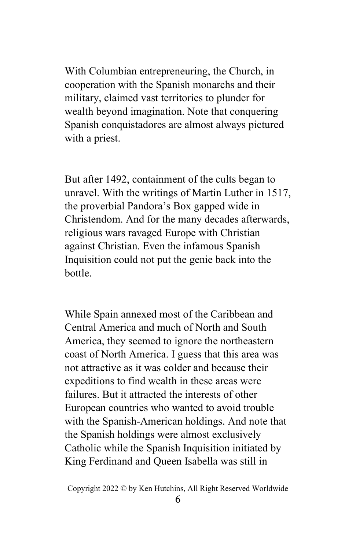With Columbian entrepreneuring, the Church, in cooperation with the Spanish monarchs and their military, claimed vast territories to plunder for wealth beyond imagination. Note that conquering Spanish conquistadores are almost always pictured with a priest.

But after 1492, containment of the cults began to unravel. With the writings of Martin Luther in 1517, the proverbial Pandora's Box gapped wide in Christendom. And for the many decades afterwards, religious wars ravaged Europe with Christian against Christian. Even the infamous Spanish Inquisition could not put the genie back into the bottle.

While Spain annexed most of the Caribbean and Central America and much of North and South America, they seemed to ignore the northeastern coast of North America. I guess that this area was not attractive as it was colder and because their expeditions to find wealth in these areas were failures. But it attracted the interests of other European countries who wanted to avoid trouble with the Spanish-American holdings. And note that the Spanish holdings were almost exclusively Catholic while the Spanish Inquisition initiated by King Ferdinand and Queen Isabella was still in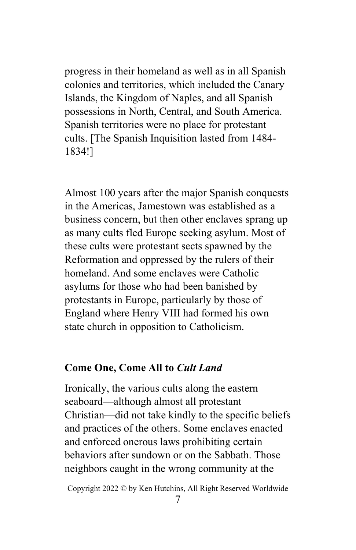progress in their homeland as well as in all Spanish colonies and territories, which included the Canary Islands, the Kingdom of Naples, and all Spanish possessions in North, Central, and South America. Spanish territories were no place for protestant cults. [The Spanish Inquisition lasted from 1484- 1834!]

Almost 100 years after the major Spanish conquests in the Americas, Jamestown was established as a business concern, but then other enclaves sprang up as many cults fled Europe seeking asylum. Most of these cults were protestant sects spawned by the Reformation and oppressed by the rulers of their homeland. And some enclaves were Catholic asylums for those who had been banished by protestants in Europe, particularly by those of England where Henry VIII had formed his own state church in opposition to Catholicism.

#### Come One, Come All to Cult Land

Ironically, the various cults along the eastern seaboard—although almost all protestant Christian—did not take kindly to the specific beliefs and practices of the others. Some enclaves enacted and enforced onerous laws prohibiting certain behaviors after sundown or on the Sabbath. Those neighbors caught in the wrong community at the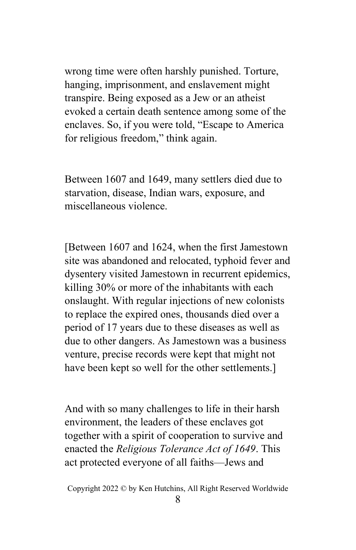wrong time were often harshly punished. Torture, hanging, imprisonment, and enslavement might transpire. Being exposed as a Jew or an atheist evoked a certain death sentence among some of the enclaves. So, if you were told, "Escape to America for religious freedom," think again.

Between 1607 and 1649, many settlers died due to starvation, disease, Indian wars, exposure, and miscellaneous violence.

[Between 1607 and 1624, when the first Jamestown site was abandoned and relocated, typhoid fever and dysentery visited Jamestown in recurrent epidemics, killing 30% or more of the inhabitants with each onslaught. With regular injections of new colonists to replace the expired ones, thousands died over a period of 17 years due to these diseases as well as due to other dangers. As Jamestown was a business venture, precise records were kept that might not have been kept so well for the other settlements.]

And with so many challenges to life in their harsh environment, the leaders of these enclaves got together with a spirit of cooperation to survive and enacted the Religious Tolerance Act of 1649. This act protected everyone of all faiths—Jews and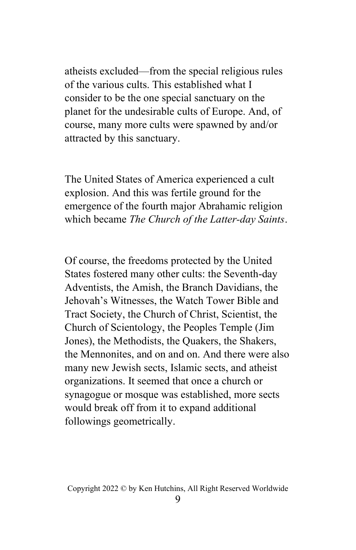atheists excluded—from the special religious rules of the various cults. This established what I consider to be the one special sanctuary on the planet for the undesirable cults of Europe. And, of course, many more cults were spawned by and/or attracted by this sanctuary.

The United States of America experienced a cult explosion. And this was fertile ground for the emergence of the fourth major Abrahamic religion which became The Church of the Latter-day Saints.

Of course, the freedoms protected by the United States fostered many other cults: the Seventh-day Adventists, the Amish, the Branch Davidians, the Jehovah's Witnesses, the Watch Tower Bible and Tract Society, the Church of Christ, Scientist, the Church of Scientology, the Peoples Temple (Jim Jones), the Methodists, the Quakers, the Shakers, the Mennonites, and on and on. And there were also many new Jewish sects, Islamic sects, and atheist organizations. It seemed that once a church or synagogue or mosque was established, more sects would break off from it to expand additional followings geometrically.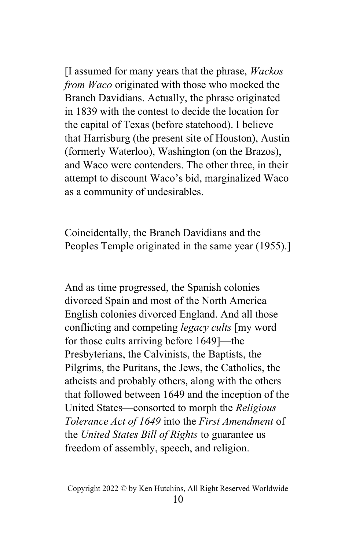$\Box$  assumed for many years that the phrase, *Wackos* from Waco originated with those who mocked the Branch Davidians. Actually, the phrase originated in 1839 with the contest to decide the location for the capital of Texas (before statehood). I believe that Harrisburg (the present site of Houston), Austin (formerly Waterloo), Washington (on the Brazos), and Waco were contenders. The other three, in their attempt to discount Waco's bid, marginalized Waco as a community of undesirables.

Coincidentally, the Branch Davidians and the Peoples Temple originated in the same year (1955).]

And as time progressed, the Spanish colonies divorced Spain and most of the North America English colonies divorced England. And all those conflicting and competing legacy cults [my word for those cults arriving before 1649]—the Presbyterians, the Calvinists, the Baptists, the Pilgrims, the Puritans, the Jews, the Catholics, the atheists and probably others, along with the others that followed between 1649 and the inception of the United States—consorted to morph the Religious Tolerance Act of 1649 into the First Amendment of the United States Bill of Rights to guarantee us freedom of assembly, speech, and religion.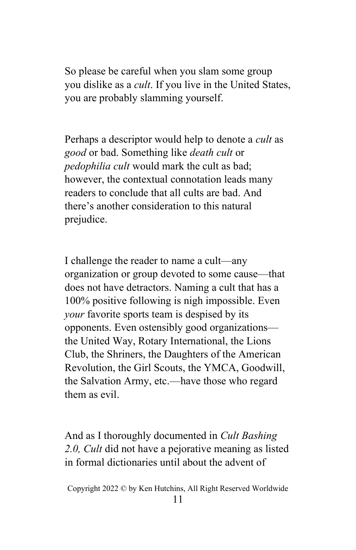So please be careful when you slam some group you dislike as a cult. If you live in the United States, you are probably slamming yourself.

Perhaps a descriptor would help to denote a cult as good or bad. Something like death cult or pedophilia cult would mark the cult as bad; however, the contextual connotation leads many readers to conclude that all cults are bad. And there's another consideration to this natural prejudice.

I challenge the reader to name a cult—any organization or group devoted to some cause—that does not have detractors. Naming a cult that has a 100% positive following is nigh impossible. Even your favorite sports team is despised by its opponents. Even ostensibly good organizations the United Way, Rotary International, the Lions Club, the Shriners, the Daughters of the American Revolution, the Girl Scouts, the YMCA, Goodwill, the Salvation Army, etc.—have those who regard them as evil.

And as I thoroughly documented in Cult Bashing 2.0, Cult did not have a pejorative meaning as listed in formal dictionaries until about the advent of